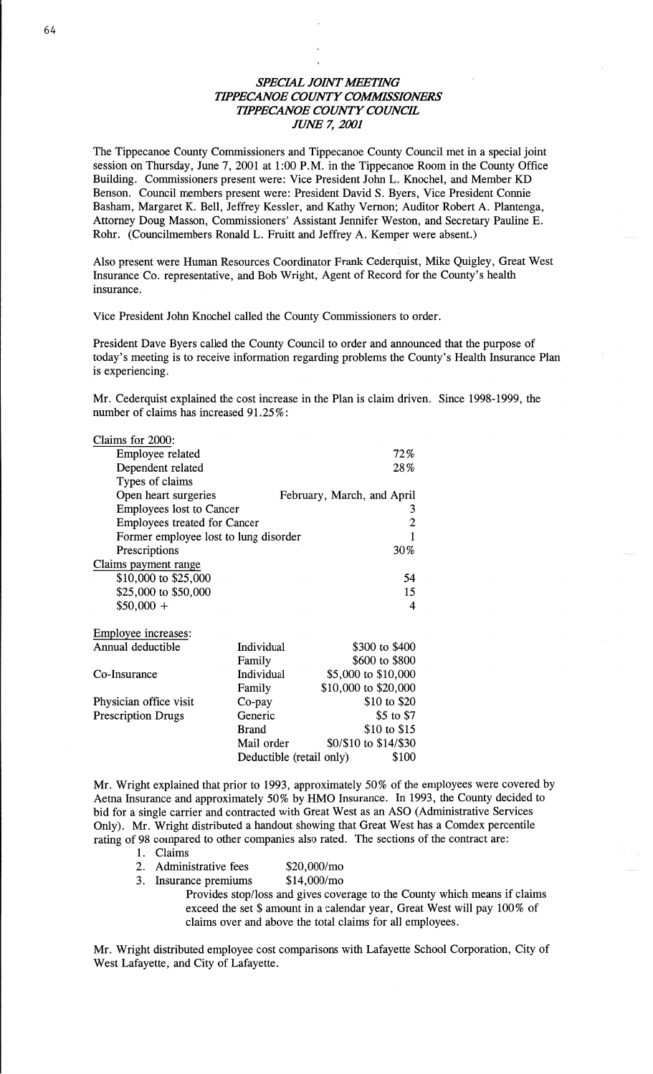## $SPECIAL$  *JOINT MEETING WPECANOE COWTY COMMISSIONERS*  **TIPPECANOE COUNTY COUNCIL**  $JUNE 7, 2001$

The Tippecanoe County Commissioners and Tippecanoe County Council met in a special joint **session** on Thursday, June 7, 2001 at 1:00 P.M. in the Tippecanoe **Room** in the County Office Building. Commissioners present were: Vice President John L. Knochel, and Member KD **Benson.** Council members present were: President David S. Byers, Vice President **Connie Basham,** Margaret K. Bell, Jeffrey Kessler, and Kathy Vernon; Auditor Robert A. Plantenga, Attorney Doug Masson, **Commissioners'** Assistant Jennifer Weston, and Secretary Pauline E. Rohr. (Councilmembers **Ronald** L. Fruitt and Jeffrey A. Kemper were absent.)

**Also** present were **Human** Resources Coordinator Frank Cederduist, Mike Quigley, Great West Insurance Co. representative, and Bob Wright; **Agent** of Record for the **County's** health insurance.

**Vice** President John Knochel called the County Commissioners to order.

President Dave Byers called the County Council to order and **announced** that the purpose of **today's** meeting is to receive information regarding problems the County's Health Insurance **Plan**  is experiencing.

Mr. Cederquist explained the cost increase in the **Plan** is claim **driven.** Since 1998-1999, the number of claims has increased 91.25%:

| Claims for 2000:                      |                          |                            |  |
|---------------------------------------|--------------------------|----------------------------|--|
| Employee related                      |                          | 72%                        |  |
| Dependent related                     |                          | 28%                        |  |
| Types of claims                       |                          |                            |  |
| Open heart surgeries                  |                          | February, March, and April |  |
| <b>Employees lost to Cancer</b>       |                          | 3                          |  |
| <b>Employees treated for Cancer</b>   |                          | 2                          |  |
| Former employee lost to lung disorder |                          |                            |  |
| Prescriptions                         |                          | 30%                        |  |
| Claims payment range                  |                          |                            |  |
| \$10,000 to \$25,000                  |                          | 54                         |  |
| \$25,000 to \$50,000                  |                          | 15                         |  |
| $$50,000 +$                           |                          | 4                          |  |
| Employee increases:                   |                          |                            |  |
| Annual deductible                     | Individual               | \$300 to \$400             |  |
|                                       | Family                   | \$600 to \$800             |  |
| Co-Insurance                          | Individual               | \$5,000 to \$10,000        |  |
|                                       | Family                   | \$10,000 to \$20,000       |  |
| Physician office visit                | $Co$ -pay                | \$10 to \$20               |  |
| <b>Prescription Drugs</b>             | Generic                  | \$5 to \$7                 |  |
|                                       | <b>Brand</b>             | \$10 to \$15               |  |
|                                       | Mail order               | \$0/\$10 to \$14/\$30      |  |
|                                       | Deductible (retail only) | \$100                      |  |

Mr. Wright explained that prior to 1993, approximately 50% of the employees were covered by Actna Insurance and approximately 50% by HMO Insurance. In 1993, the County decided to bid for a single carrier and contracted with Great West as an ASO (Administrative Services Only). Mr. Wright distributed **a** handout showing that Great West has **a** Comdex percentile rating of 98 compared to other **companies** also rated. The sections of the contract are:

**<sup>1</sup>***.* Claims

**Claims** for 2000:

- 2. Administrative fees \$20,000/mo<br>3. Insurance premiums \$14,000/mo
- - Provides stop/loss and gives coverage to the County which means if claims exceed the set 35 amount in a calendar year, Great West will pay **100%** of claims over and above the total claims for all employees.

Mr. Wright distributed employee cost comparisons with Lafayette School Corporation, City of West Lafayette, and City of Lafayette.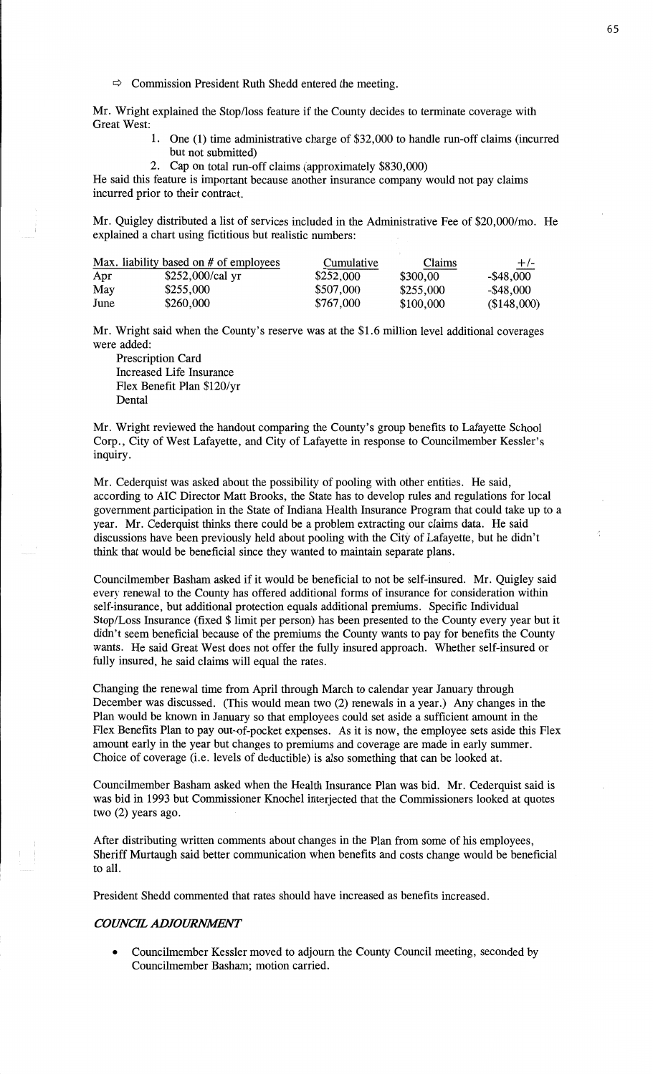$\Rightarrow$  Commission President Ruth Shedd entered the meeting.

Mr. Wright **explained** the Stop/loss feature if the County decides to **terminate** coverage with Great **West:** 

- 1. One (1) **time administrative** charge of \$32,000 to **handle run-off claims** (incurred but not submitted)
- 2. Cap on total **run-off claims** (approximately \$830,000)

He said this feature is **important** because another insurance **company** would not pay **claims**  incurred prior to their contract.

Mr. Quigley distributed a list of services included in the Administrative Fee of **\$20,000/mo.** He **explained a** chart using fictitious but **realistic** numbers:

|      | Max. liability based on # of employees | Cumulative | Claims    | $+/-$        |
|------|----------------------------------------|------------|-----------|--------------|
| Apr  | \$252,000/cal yr                       | \$252,000  | \$300,00  | $-$ \$48,000 |
| May  | \$255,000                              | \$507,000  | \$255,000 | $-$ \$48,000 |
| June | \$260,000                              | \$767,000  | \$100,000 | (\$148,000)  |

Mr. Wright said when the **County's** reserve was at the \$1.6 **million** level additional coverages were added:

**Prescription Card**  Increased **Life** Insurance Flex **Benefit** Plan \$120/yr **Dental** 

Mr. Wright reviewed the **handout** comparing the **County's group** benefits to Lafayette School Corp., City of West Lafayette, and City of Lafayette in response to **Councihnember** Kessler's inquiry.

Mr. Cederquist was asked about the possibility of pooling with other entities. He said, according to AIC Director Matt Brooks, the State has to develop rules and regulations for **local**  government participation in the State of **Indiana** Health Insurance Program **that** could **take** up to **a**  year. Mr. Cederquist thinks there could be a problem extracting our claims data. He **said**  discussions have **been** previously **held** about pooling with the City of Lafayette, but he didn't think that would be beneficial since they wanted to maintain separate plans.

Councihnember Basham asked if it would be beneficial to not be self-insured. Mr. Quigley **said**  every renewal to the County has offered additional forms of insurance for consideration within self-insurance, but additional protection equals additional premiums. Specific Individual Stop/Loss Insurance (fixed \$ limit per person) has been presented to the County every year but it **didn't seem** beneficial because of the premiums the County wants to pay for benefits the **County wants.** He **said** Great **West** does not offer the fully insured approach. Whether **self-insured** or fully insured, he **said claims** will equal the rates.

**Changing** the renewal time from April through March to **calendar** year January through December was discussed. **(This** would **mean** two (2) renewals in **a** year.) Any changes in the Plan would be **known** in January so that employees could set aside **a** sufficient amount in the Flex Benefits Plan to pay out-of-pocket expenses. As it is now, the employee sets aside **this Flex**  amount early in the year but changes to premiums and coverage are made in early summer. Choice of coverage (i.e. levels of deductible) is **also something** that can be looked at.

Councilmember **Basham** asked when the Health Insurance Plan was **bid.** Mr. Cederquist said is was bid in 1993 but Commissioner Knochel interjected **that** the Commissioners looked at quotes two (2) years **ago.** 

After distributing written **comments about changes** in the **Plan** from **some** of his **employees,**  Sheriff Murtaugh **said better** communication when benefits and costs change would be beneficial to **all.** 

**President Shedd** commented **that** rates **should have increased** as **benefits** increased.

## C'OUNCH. *ADJOURMWENT*

**o** Councilmember **Kessler** moved to **adjourn** the County Council **meeting,** seconded by Councilmember **Basham;** motion carried.